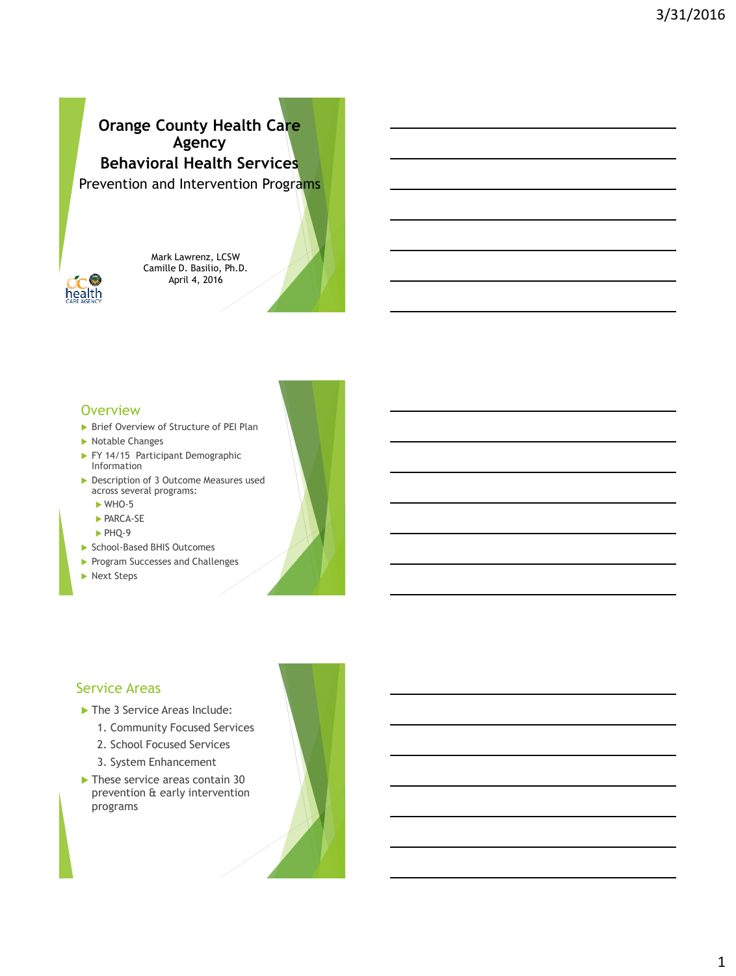# Prevention and Intervention Programs **Orange County Health Care Agency Behavioral Health Services**



Mark Lawrenz, LCSW Camille D. Basilio, Ph.D. April 4, 2016

#### **Overview**

- ▶ Brief Overview of Structure of PEI Plan
- Notable Changes
- FY 14/15 Participant Demographic Information
- ▶ Description of 3 Outcome Measures used across several programs:
	- $\triangleright$  WHO-5
	- **PARCA-SE**
	- PHQ-9
- ▶ School-Based BHIS Outcomes
- Program Successes and Challenges
- Next Steps

#### Service Areas

- The 3 Service Areas Include:
	- 1. Community Focused Services
	- 2. School Focused Services
	- 3. System Enhancement
- These service areas contain 30 prevention & early intervention programs

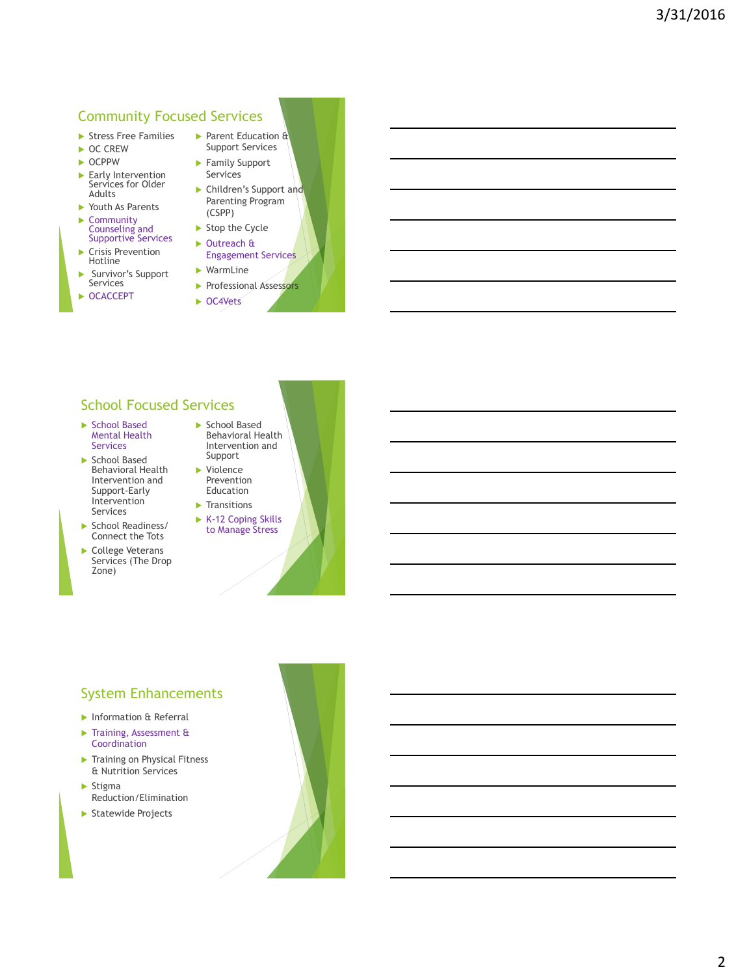#### Community Focused Services

- Stress Free Families
- ▶ OC CREW
- $\triangleright$  OCPPW
- Early Intervention Services for Older Adults
- ▶ Youth As Parents ▶ Community
- 
- Counseling and Supportive Services ▶ Crisis Prevention Hotline
- Survivor's Support Services
- ▶ OCACCEPT
- Parent Education & Support Services
- Family Support Services
- ▶ Children's Support and Parenting Program (CSPP)
- $\blacktriangleright$  Stop the Cycle ▶ Outreach &
- Engagement Services WarmLine
- **Professional Assessors**
- ▶ OC4Vets

### School Focused Services

- ▶ School Based Mental Health Services
- School Based Behavioral Health Intervention and Support-Early Intervention Services
- School Readiness/ Connect the Tots
- College Veterans Services (The Drop Zone)



- ▶ Violence Prevention Education
- $\blacktriangleright$  Transitions
- K-12 Coping Skills to Manage Stress

# System Enhancements

- **Information & Referral**
- Training, Assessment & Coordination
- **Training on Physical Fitness** & Nutrition Services
- $\blacktriangleright$  Stigma Reduction/Elimination
- Statewide Projects

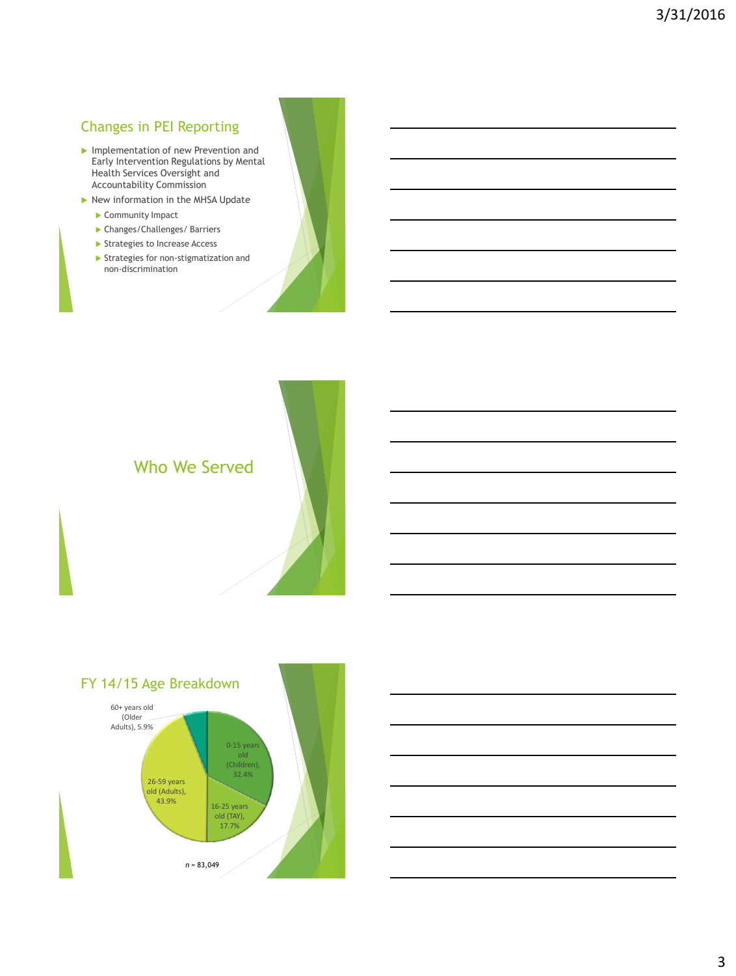# Changes in PEI Reporting

- Implementation of new Prevention and Early Intervention Regulations by Mental Health Services Oversight and Accountability Commission
- $\blacktriangleright$  New information in the MHSA Update
	- Community Impact
	- Changes/Challenges/ Barriers
	- Strategies to Increase Access
	- $\blacktriangleright$  Strategies for non-stigmatization and non-discrimination





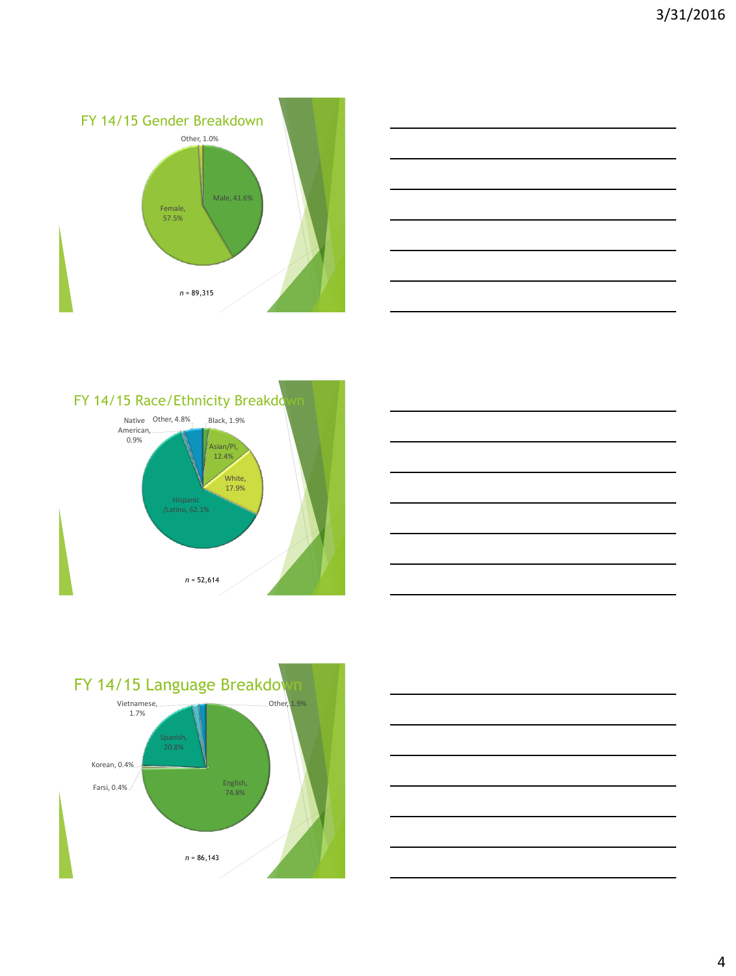









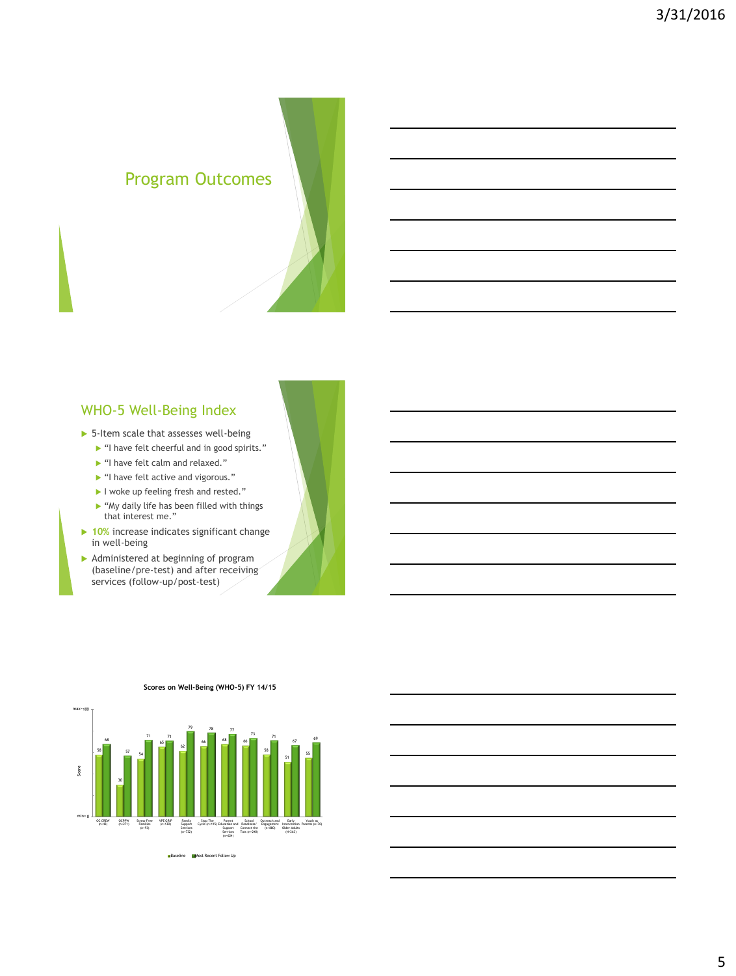# Program Outcomes

### WHO-5 Well-Being Index

- ▶ 5-Item scale that assesses well-being
	- $\blacktriangleright$  "I have felt cheerful and in good spirits."
	- ▶ "I have felt calm and relaxed."
	- If "I have felt active and vigorous."
	- I woke up feeling fresh and rested."
	- $\blacktriangleright$  "My daily life has been filled with things that interest me."
- **10%** increase indicates significant change in well-being
- Administered at beginning of program (baseline/pre-test) and after receiving services (follow-up/post-test)



**Scores on Well-Being (WHO-5) FY 14/15**

**Baseline Most Recent Follow Up**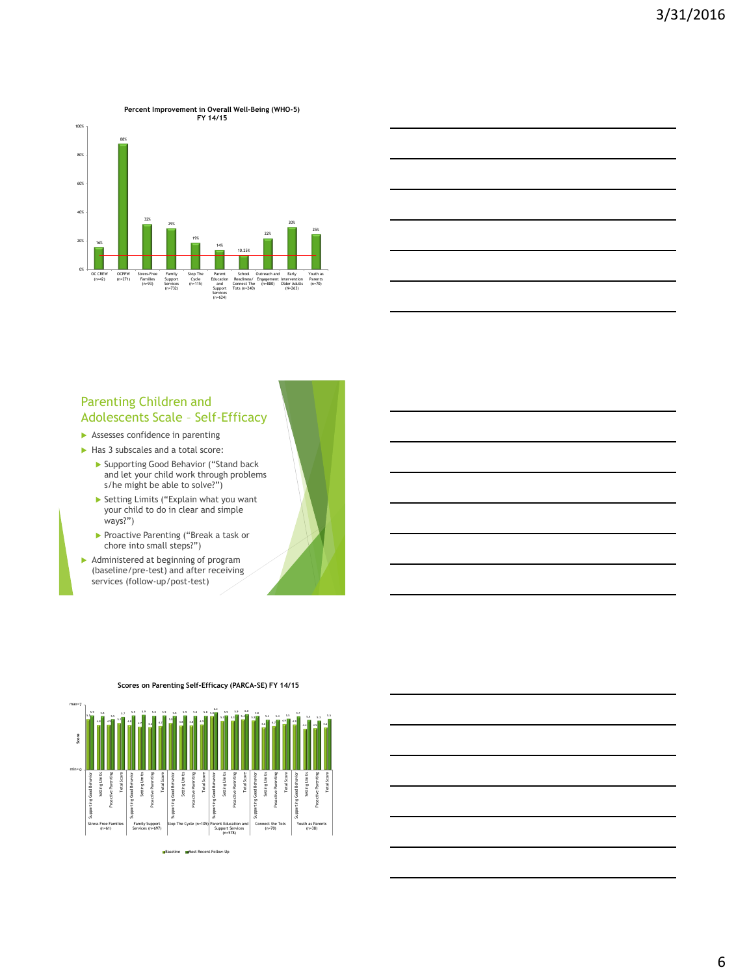

#### Parenting Children and Adolescents Scale – Self-Efficacy

- Assesses confidence in parenting
- Has 3 subscales and a total score:
	- Supporting Good Behavior ("Stand back and let your child work through problems s/he might be able to solve?")
	- Setting Limits ("Explain what you want your child to do in clear and simple ways?")
	- Proactive Parenting ("Break a task or chore into small steps?")
- Administered at beginning of program (baseline/pre-test) and after receiving services (follow-up/post-test)

**Scores on Parenting Self-Efficacy (PARCA-SE) FY 14/15**

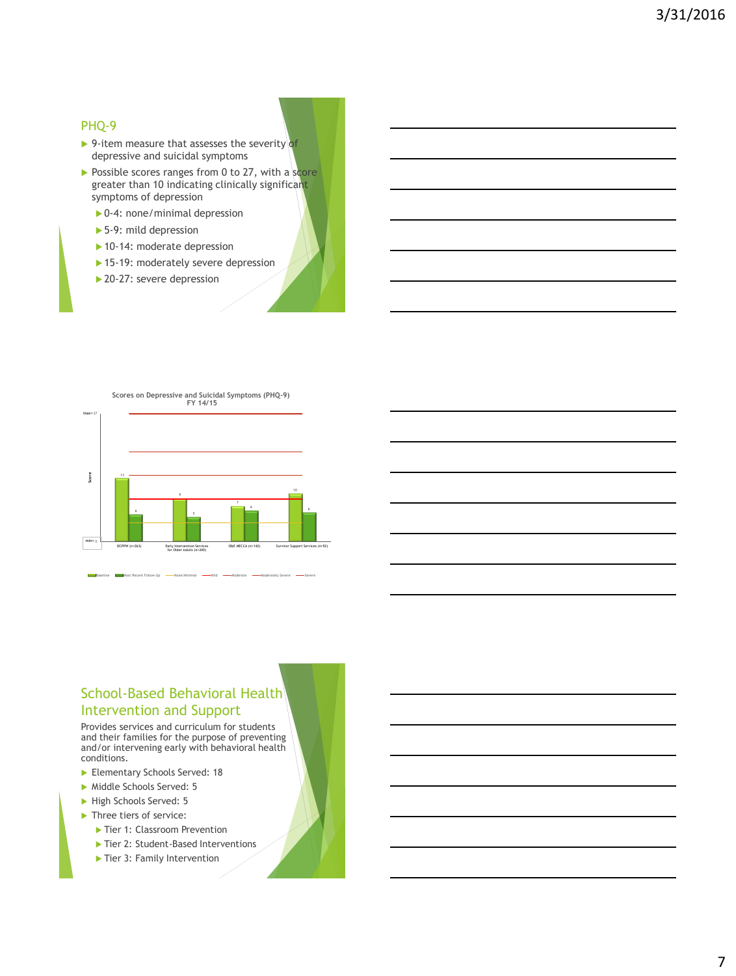#### PHQ-9

- ▶ 9-item measure that assesses the severity of depressive and suicidal symptoms
- $\triangleright$  Possible scores ranges from 0 to 27, with a score greater than 10 indicating clinically significant symptoms of depression
	- ▶ 0-4: none/minimal depression
	- ▶ 5-9: mild depression
	- ▶ 10-14: moderate depression
	- ▶ 15-19: moderately severe depression
	- ▶ 20-27: severe depression



#### School-Based Behavioral Health Intervention and Support

Provides services and curriculum for students and their families for the purpose of preventing and/or intervening early with behavioral health conditions.

- Elementary Schools Served: 18
- Middle Schools Served: 5
- High Schools Served: 5
- Three tiers of service:
	- Tier 1: Classroom Prevention
	- ▶ Tier 2: Student-Based Interventions
	- Tier 3: Family Intervention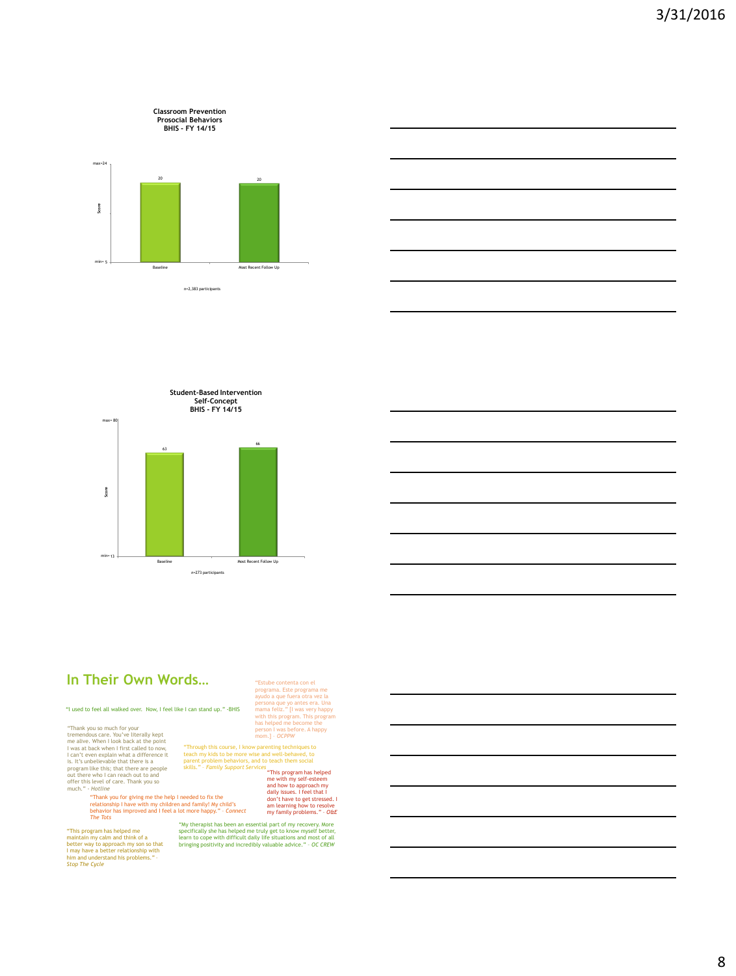





# *n*=273 particip

# **In Their Own Words…**

"I used to feel all walked over. Now, I feel like I can stand up." -BHIS

"Thank you so much for your<br>remendous care. You've Utterally kept<br>remendous care. You've Utterally kept<br>I vas at back when I first called to now,<br>I can't even explain what a difference it<br>is. It's unbelievable that there

"Thank you for giving me the help I needed to fix the relationship I have with my children and family! My child's behavior has improved and I feel a lot more happy." – *Connect The Tots*

"This program has helped me maintain my calm and think of a better way to approach my son so that I may have a better relationship with him and understand his problems." – *Stop The Cycle*

"Estube contenta con el<br>programa. Este programa me<br>ayudo a que fuera otra vez la<br>persona que yo antes era. Una<br>mama feliz." [I was very happy<br>with this program. This program<br>has helped me become the<br>person I was before. A

"Through this course, I know parenting techniques to<br>
etach my kids to be more wise and well-behaved, to<br>
parent problem behaviors, and to teach them social<br>
skills." - Family Support Services "This program has helped<br>
me

"My therapist has been an essential part of my recovery. More<br>specifically she has helped me truly get to know myself better,<br>learn to cope with difficult daily life situations and most of all<br>bringing positivity and incre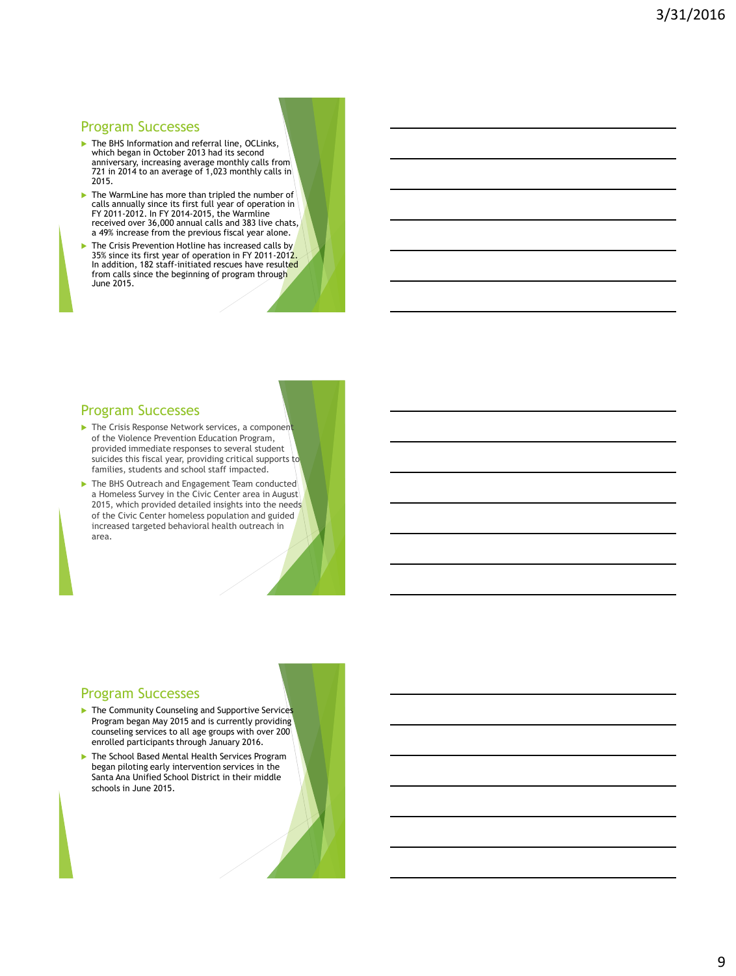#### Program Successes

- ▶ The BHS Information and referral line, OCLinks, which began in October 2013 had its second anniversary, increasing average monthly calls from 721 in 2014 to an average of  $1,023$  monthly calls in 2015.
- ▶ The WarmLine has more than tripled the number of calls annually since its first full year of operation in FY 2011-2012. In FY 2014-2015, the Warmline received over 36,000 annual calls and 383 live chats, a 49% increase from the previous fiscal year alone.
- The Crisis Prevention Hotline has increased calls by 35% since its first year of operation in FY 2011-2012. In addition, 182 staff-initiated rescues have resulted from calls since the beginning of program through June 2015.

#### Program Successes

- $\blacktriangleright$  The Crisis Response Network services, a component of the Violence Prevention Education Program, provided immediate responses to several student suicides this fiscal year, providing critical supports to families, students and school staff impacted.
- $\blacktriangleright$  The BHS Outreach and Engagement Team conducted a Homeless Survey in the Civic Center area in August 2015, which provided detailed insights into the needs of the Civic Center homeless population and guided increased targeted behavioral health outreach in area.

#### Program Successes

- The Community Counseling and Supportive Services Program began May 2015 and is currently providing counseling services to all age groups with over 200 enrolled participants through January 2016.
- The School Based Mental Health Services Program began piloting early intervention services in the Santa Ana Unified School District in their middle schools in June 2015.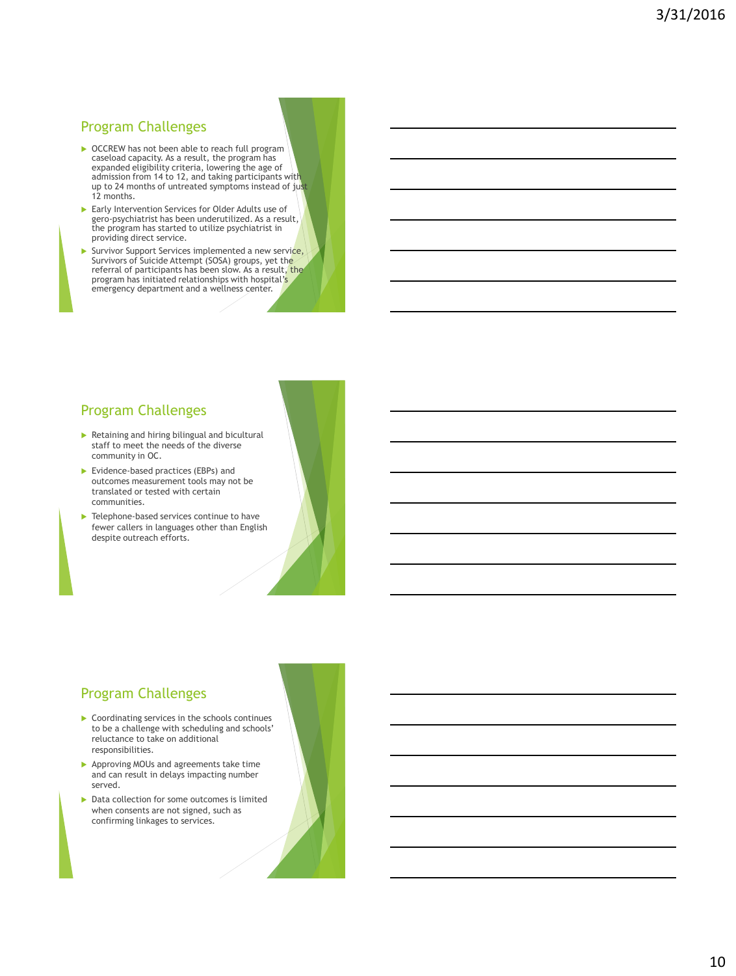#### Program Challenges

- ▶ OCCREW has not been able to reach full program caseload capacity. As a result, the program has expanded eligibility criteria, lowering the age of admission from 14 to 12, and taking participants with up to 24 months of untreated symptoms instead of just 12 months.
- Early Intervention Services for Older Adults use of gero-psychiatrist has been underutilized. As a result, the program has started to utilize psychiatrist in providing direct service.
- Survivor Support Services implemented a new service, Survivors of Suicide Attempt (SOSA) groups, yet the referral of participants has been slow. As a result, the program has initiated relationships with hospital's emergency department and a wellness center.

#### Program Challenges

- Retaining and hiring bilingual and bicultural staff to meet the needs of the diverse community in OC.
- Evidence-based practices (EBPs) and outcomes measurement tools may not be translated or tested with certain communities.
- **Telephone-based services continue to have** fewer callers in languages other than English despite outreach efforts.

#### Program Challenges

- ▶ Coordinating services in the schools continues to be a challenge with scheduling and schools' reluctance to take on additional responsibilities.
- **Approving MOUs and agreements take time** and can result in delays impacting number served.
- Data collection for some outcomes is limited when consents are not signed, such as confirming linkages to services.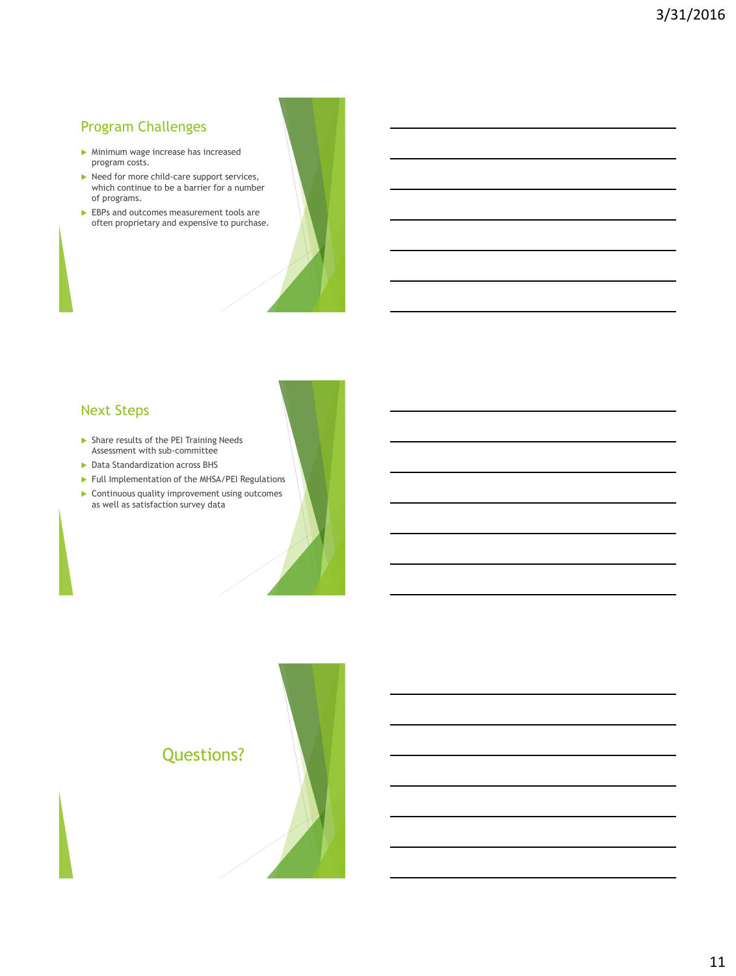# Program Challenges

- Minimum wage increase has increased program costs.
- $\blacktriangleright$  Need for more child-care support services, which continue to be a barrier for a number of programs.
- EBPs and outcomes measurement tools are often proprietary and expensive to purchase.

# Next Steps

- Share results of the PEI Training Needs Assessment with sub-committee
- **Data Standardization across BHS**
- Full Implementation of the MHSA/PEI Regulations
- **Continuous quality improvement using outcomes** as well as satisfaction survey data

# Questions?